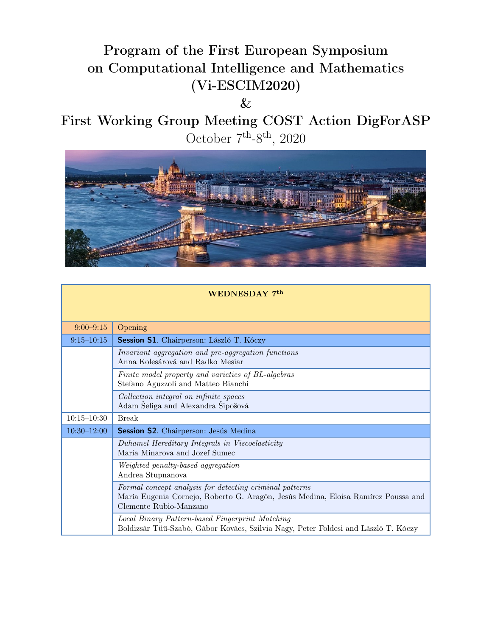## Program of the First European Symposium on Computational Intelligence and Mathematics (Vi-ESCIM2020)

 $\&$ 

First Working Group Meeting COST Action DigForASP October  $7<sup>th</sup>-8<sup>th</sup>$ , 2020



| WEDNESDAY 7th   |                                                                                                                                                                        |  |
|-----------------|------------------------------------------------------------------------------------------------------------------------------------------------------------------------|--|
|                 |                                                                                                                                                                        |  |
| $9:00-9:15$     | Opening                                                                                                                                                                |  |
| $9:15 - 10:15$  | Session S1. Chairperson: László T. Kóczy                                                                                                                               |  |
|                 | Invariant aggregation and pre-aggregation functions<br>Anna Kolesárová and Radko Mesiar                                                                                |  |
|                 | Finite model property and varieties of BL-algebras<br>Stefano Aguzzoli and Matteo Bianchi                                                                              |  |
|                 | Collection integral on infinite spaces<br>Adam Šeliga and Alexandra Šipošová                                                                                           |  |
| $10:15 - 10:30$ | <b>Break</b>                                                                                                                                                           |  |
| $10:30 - 12:00$ | Session S2. Chairperson: Jesús Medina                                                                                                                                  |  |
|                 | Duhamel Hereditary Integrals in Viscoelasticity<br>Maria Minarova and Jozef Sumec                                                                                      |  |
|                 | Weighted penalty-based aggregation<br>Andrea Stupnanova                                                                                                                |  |
|                 | Formal concept analysis for detecting criminal patterns<br>María Eugenia Cornejo, Roberto G. Aragón, Jesús Medina, Eloisa Ramírez Poussa and<br>Clemente Rubio-Manzano |  |
|                 | Local Binary Pattern-based Fingerprint Matching<br>Boldizsár Tüű-Szabó, Gábor Kovács, Szilvia Nagy, Peter Foldesi and László T. Kóczy                                  |  |